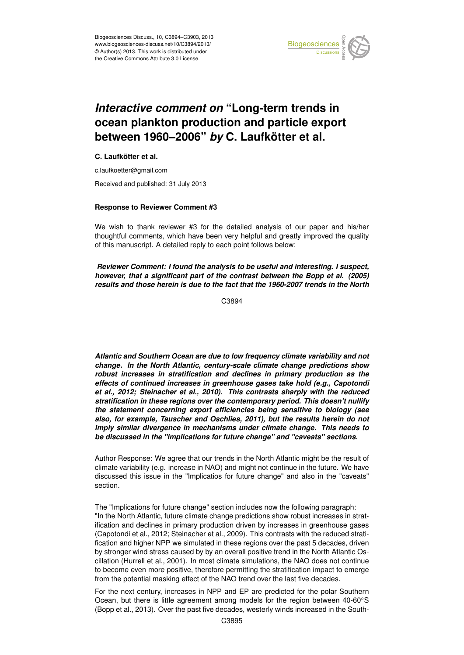

#### Earth System ocean plankton production and particle export '<br>ti  $\mathbf 1$ *Interactive comment on* "Long-term trends in between 1960–2006" *by* C. Laufkötter et al.

## **C. Laufkötter et al.**

c.laufkoetter@gmail.com

Received and published: 31 July 2013

# **Response to Reviewer Comment #3**

We wish to thank reviewer #3 for the detailed analysis of our paper and his/her thoughtful comments, which have been very helpful and greatly improved the quality of this manuscript. A detailed reply to each point follows below: o<br>Open Access<br>Open Access Open Access

notions: **Comment Hourd are analysis to be about and increding. Feapocity**<br>however, that a significant part of the contrast between the Bopp et al. (2005) y.<br>!e SI<br>I.<br>L Reviewer Comment: I found the analysis to be useful and interesting. I suspect, *results and those herein is due to the fact that the 1960-2007 trends in the North*

> C<br>C C3894

 $\overline{t}$  $\overline{\phantom{a}}$ *Atlantic and Southern Ocean are due to low frequency climate variability and not change. In the North Atlantic, century-scale climate change predictions show robust increases in stratification and declines in primary production as the effects of continued increases in greenhouse gases take hold (e.g., Capotondi et al., 2012; Steinacher et al., 2010). This contrasts sharply with the reduced stratification in these regions over the contemporary period. This doesn't nullify the statement concerning export efficiencies being sensitive to biology (see also, for example, Tauscher and Oschlies, 2011), but the results herein do not imply similar divergence in mechanisms under climate change. This needs to be discussed in the "implications for future change" and "caveats" sections.*

Author Response: We agree that our trends in the North Atlantic might be the result of climate variability (e.g. increase in NAO) and might not continue in the future. We have discussed this issue in the "Implicatios for future change" and also in the "caveats" section.

The "Implications for future change" section includes now the following paragraph: "In the North Atlantic, future climate change predictions show robust increases in stratification and declines in primary production driven by increases in greenhouse gases (Capotondi et al., 2012; Steinacher et al., 2009). This contrasts with the reduced stratification and higher NPP we simulated in these regions over the past 5 decades, driven by stronger wind stress caused by by an overall positive trend in the North Atlantic Oscillation (Hurrell et al., 2001). In most climate simulations, the NAO does not continue to become even more positive, therefore permitting the stratification impact to emerge from the potential masking effect of the NAO trend over the last five decades.

For the next century, increases in NPP and EP are predicted for the polar Southern Ocean, but there is little agreement among models for the region between 40-60◦S (Bopp et al., 2013). Over the past five decades, westerly winds increased in the South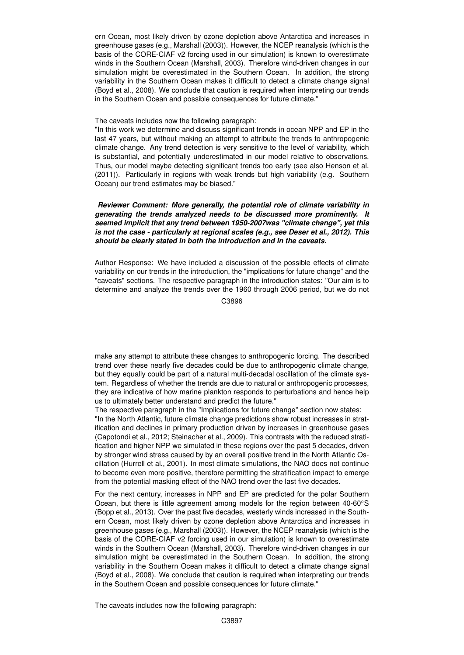ern Ocean, most likely driven by ozone depletion above Antarctica and increases in greenhouse gases (e.g., Marshall (2003)). However, the NCEP reanalysis (which is the basis of the CORE-CIAF v2 forcing used in our simulation) is known to overestimate winds in the Southern Ocean (Marshall, 2003). Therefore wind-driven changes in our simulation might be overestimated in the Southern Ocean. In addition, the strong variability in the Southern Ocean makes it difficult to detect a climate change signal (Boyd et al., 2008). We conclude that caution is required when interpreting our trends in the Southern Ocean and possible consequences for future climate."

#### The caveats includes now the following paragraph:

"In this work we determine and discuss significant trends in ocean NPP and EP in the last 47 years, but without making an attempt to attribute the trends to anthropogenic climate change. Any trend detection is very sensitive to the level of variability, which is substantial, and potentially underestimated in our model relative to observations. Thus, our model maybe detecting significant trends too early (see also Henson et al. (2011)). Particularly in regions with weak trends but high variability (e.g. Southern Ocean) our trend estimates may be biased."

## *Reviewer Comment: More generally, the potential role of climate variability in generating the trends analyzed needs to be discussed more prominently. It seemed implicit that any trend between 1950-2007was "climate change", yet this is not the case - particularly at regional scales (e.g., see Deser et al., 2012). This should be clearly stated in both the introduction and in the caveats.*

Author Response: We have included a discussion of the possible effects of climate variability on our trends in the introduction, the "implications for future change" and the "caveats" sections. The respective paragraph in the introduction states: "Our aim is to determine and analyze the trends over the 1960 through 2006 period, but we do not

C3896

make any attempt to attribute these changes to anthropogenic forcing. The described trend over these nearly five decades could be due to anthropogenic climate change, but they equally could be part of a natural multi-decadal oscillation of the climate system. Regardless of whether the trends are due to natural or anthropogenic processes, they are indicative of how marine plankton responds to perturbations and hence help us to ultimately better understand and predict the future."

The respective paragraph in the "Implications for future change" section now states:

"In the North Atlantic, future climate change predictions show robust increases in stratification and declines in primary production driven by increases in greenhouse gases (Capotondi et al., 2012; Steinacher et al., 2009). This contrasts with the reduced stratification and higher NPP we simulated in these regions over the past 5 decades, driven by stronger wind stress caused by by an overall positive trend in the North Atlantic Oscillation (Hurrell et al., 2001). In most climate simulations, the NAO does not continue to become even more positive, therefore permitting the stratification impact to emerge from the potential masking effect of the NAO trend over the last five decades.

For the next century, increases in NPP and EP are predicted for the polar Southern Ocean, but there is little agreement among models for the region between 40-60◦S (Bopp et al., 2013). Over the past five decades, westerly winds increased in the Southern Ocean, most likely driven by ozone depletion above Antarctica and increases in greenhouse gases (e.g., Marshall (2003)). However, the NCEP reanalysis (which is the basis of the CORE-CIAF v2 forcing used in our simulation) is known to overestimate winds in the Southern Ocean (Marshall, 2003). Therefore wind-driven changes in our simulation might be overestimated in the Southern Ocean. In addition, the strong variability in the Southern Ocean makes it difficult to detect a climate change signal (Boyd et al., 2008). We conclude that caution is required when interpreting our trends in the Southern Ocean and possible consequences for future climate."

The caveats includes now the following paragraph: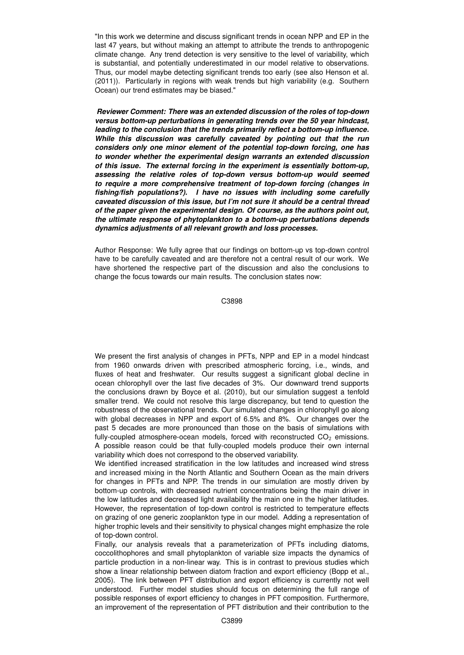"In this work we determine and discuss significant trends in ocean NPP and EP in the last 47 years, but without making an attempt to attribute the trends to anthropogenic climate change. Any trend detection is very sensitive to the level of variability, which is substantial, and potentially underestimated in our model relative to observations. Thus, our model maybe detecting significant trends too early (see also Henson et al. (2011)). Particularly in regions with weak trends but high variability (e.g. Southern Ocean) our trend estimates may be biased."

*Reviewer Comment: There was an extended discussion of the roles of top-down versus bottom-up perturbations in generating trends over the 50 year hindcast, leading to the conclusion that the trends primarily reflect a bottom-up influence. While this discussion was carefully caveated by pointing out that the run considers only one minor element of the potential top-down forcing, one has to wonder whether the experimental design warrants an extended discussion of this issue. The external forcing in the experiment is essentially bottom-up, assessing the relative roles of top-down versus bottom-up would seemed to require a more comprehensive treatment of top-down forcing (changes in fishing/fish populations?). I have no issues with including some carefully caveated discussion of this issue, but I'm not sure it should be a central thread of the paper given the experimental design. Of course, as the authors point out, the ultimate response of phytoplankton to a bottom-up perturbations depends dynamics adjustments of all relevant growth and loss processes.*

Author Response: We fully agree that our findings on bottom-up vs top-down control have to be carefully caveated and are therefore not a central result of our work. We have shortened the respective part of the discussion and also the conclusions to change the focus towards our main results. The conclusion states now:

C3898

We present the first analysis of changes in PFTs, NPP and EP in a model hindcast from 1960 onwards driven with prescribed atmospheric forcing, i.e., winds, and fluxes of heat and freshwater. Our results suggest a significant global decline in ocean chlorophyll over the last five decades of 3%. Our downward trend supports the conclusions drawn by Boyce et al. (2010), but our simulation suggest a tenfold smaller trend. We could not resolve this large discrepancy, but tend to question the robustness of the observational trends. Our simulated changes in chlorophyll go along with global decreases in NPP and export of 6.5% and 8%. Our changes over the past 5 decades are more pronounced than those on the basis of simulations with fully-coupled atmosphere-ocean models, forced with reconstructed  $CO<sub>2</sub>$  emissions. A possible reason could be that fully-coupled models produce their own internal variability which does not correspond to the observed variability.

We identified increased stratification in the low latitudes and increased wind stress and increased mixing in the North Atlantic and Southern Ocean as the main drivers for changes in PFTs and NPP. The trends in our simulation are mostly driven by bottom-up controls, with decreased nutrient concentrations being the main driver in the low latitudes and decreased light availability the main one in the higher latitudes. However, the representation of top-down control is restricted to temperature effects on grazing of one generic zooplankton type in our model. Adding a representation of higher trophic levels and their sensitivity to physical changes might emphasize the role of top-down control.

Finally, our analysis reveals that a parameterization of PFTs including diatoms, coccolithophores and small phytoplankton of variable size impacts the dynamics of particle production in a non-linear way. This is in contrast to previous studies which show a linear relationship between diatom fraction and export efficiency (Bopp et al., 2005). The link between PFT distribution and export efficiency is currently not well understood. Further model studies should focus on determining the full range of possible responses of export efficiency to changes in PFT composition. Furthermore, an improvement of the representation of PFT distribution and their contribution to the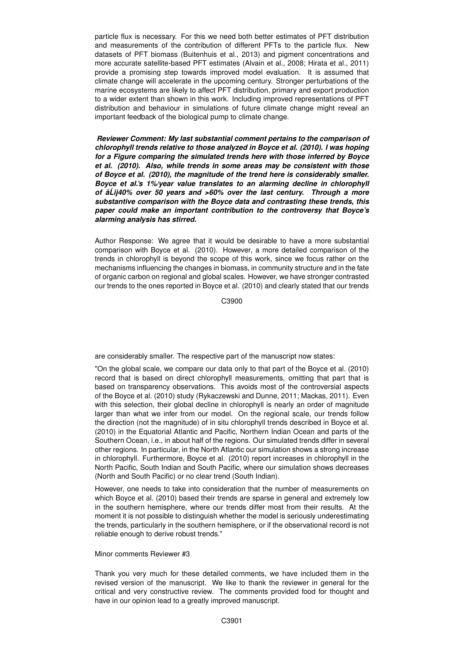particle flux is necessary. For this we need both better estimates of PFT distribution and measurements of the contribution of different PFTs to the particle flux. New datasets of PFT biomass (Buitenhuis et al., 2013) and pigment concentrations and more accurate satellite-based PFT estimates (Alvain et al., 2008; Hirata et al., 2011) provide a promising step towards improved model evaluation. It is assumed that climate change will accelerate in the upcoming century. Stronger perturbations of the marine ecosystems are likely to affect PFT distribution, primary and export production to a wider extent than shown in this work. Including improved representations of PFT distribution and behaviour in simulations of future climate change might reveal an important feedback of the biological pump to climate change.

*Reviewer Comment: My last substantial comment pertains to the comparison of chlorophyll trends relative to those analyzed in Boyce et al. (2010). I was hoping for a Figure comparing the simulated trends here with those inferred by Boyce et al. (2010). Also, while trends in some areas may be consistent with those of Boyce et al. (2010), the magnitude of the trend here is considerably smaller. Boyce et al.'s 1%/year value translates to an alarming decline in chlorophyll of âLij40% over 50 years and >60% over the last century. Through a more ´ substantive comparison with the Boyce data and contrasting these trends, this paper could make an important contribution to the controversy that Boyce's alarming analysis has stirred.*

Author Response: We agree that it would be desirable to have a more substantial comparison with Boyce et al. (2010). However, a more detailed comparison of the trends in chlorophyll is beyond the scope of this work, since we focus rather on the mechanisms influencing the changes in biomass, in community structure and in the fate of organic carbon on regional and global scales. However, we have stronger contrasted our trends to the ones reported in Boyce et al. (2010) and clearly stated that our trends

C3900

are considerably smaller. The respective part of the manuscript now states:

"On the global scale, we compare our data only to that part of the Boyce et al. (2010) record that is based on direct chlorophyll measurements, omitting that part that is based on transparency observations. This avoids most of the controversial aspects of the Boyce et al. (2010) study (Rykaczewski and Dunne, 2011; Mackas, 2011). Even with this selection, their global decline in chlorophyll is nearly an order of magnitude larger than what we infer from our model. On the regional scale, our trends follow the direction (not the magnitude) of in situ chlorophyll trends described in Boyce et al. (2010) in the Equatorial Atlantic and Pacific, Northern Indian Ocean and parts of the Southern Ocean, i.e., in about half of the regions. Our simulated trends differ in several other regions. In particular, in the North Atlantic our simulation shows a strong increase in chlorophyll. Furthermore, Boyce et al. (2010) report increases in chlorophyll in the North Pacific, South Indian and South Pacific, where our simulation shows decreases (North and South Pacific) or no clear trend (South Indian).

However, one needs to take into consideration that the number of measurements on which Boyce et al. (2010) based their trends are sparse in general and extremely low in the southern hemisphere, where our trends differ most from their results. At the moment it is not possible to distinguish whether the model is seriously underestimating the trends, particularly in the southern hemisphere, or if the observational record is not reliable enough to derive robust trends."

### Minor comments Reviewer #3

Thank you very much for these detailed comments, we have included them in the revised version of the manuscript. We like to thank the reviewer in general for the critical and very constructive review. The comments provided food for thought and have in our opinion lead to a greatly improved manuscript.